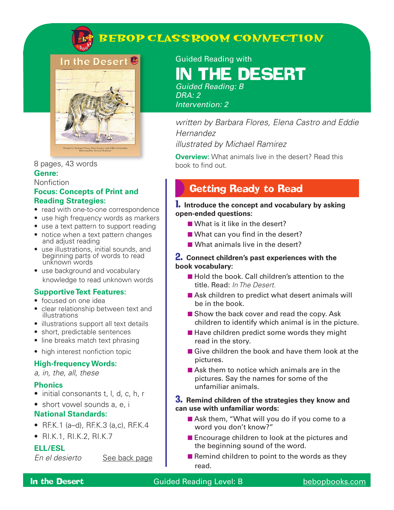

### **BEBOP CLASSROOM CONNECTION**



#### 8 pages, 43 words **Genre:**

#### Nonfiction

#### **Focus: Concepts of Print and Reading Strategies:**

- read with one-to-one correspondence
- use high frequency words as markers
- use a text pattern to support reading
- notice when a text pattern changes and adjust reading
- use illustrations, initial sounds, and beginning parts of words to read unknown words
- use background and vocabulary knowledge to read unknown words

#### **Supportive Text Features:**

- focused on one idea
- clear relationship between text and illustrations
- illustrations support all text details
- short, predictable sentences
- line breaks match text phrasing
- high interest nonfiction topic

#### **High-frequency Words:**

*a, in, the, all, these*

#### **Phonics**

- initial consonants t, l, d, c, h, r
- short vowel sounds a, e, i

#### **National Standards:**

- RF.K.1 (a–d), RF.K.3 (a,c), RF.K.4
- RI.K.1, RI.K.2, RI.K.7

#### **ELL/ESL**

*En el desierto* See back page

Guided Reading with

# **THE DESERT**

*Guided Reading: B DRA: 2 Intervention: 2*

*written by Barbara Flores, Elena Castro and Eddie Hernandez illustrated by Michael Ramirez*

**Overview:** What animals live in the desert? Read this book to find out.

### Getting Ready to Read

#### 1. **Introduce the concept and vocabulary by asking open-ended questions:**

- What is it like in the desert?
- What can you find in the desert?
- What animals live in the desert?

#### 2. **Connect children's past experiences with the book vocabulary:**

- Hold the book. Call children's attention to the title. Read: *In The Desert.*
- Ask children to predict what desert animals will be in the book.
- Show the back cover and read the copy. Ask children to identify which animal is in the picture.
- Have children predict some words they might read in the story.
- Give children the book and have them look at the pictures.
- Ask them to notice which animals are in the pictures. Say the names for some of the unfamiliar animals.

#### 3. **Remind children of the strategies they know and can use with unfamiliar words:**

- Ask them, "What will you do if you come to a word you don't know?"
- Encourage children to look at the pictures and the beginning sound of the word.
- Remind children to point to the words as they read.

#### **In the Desert** Guided Reading Level: B bebopbooks.com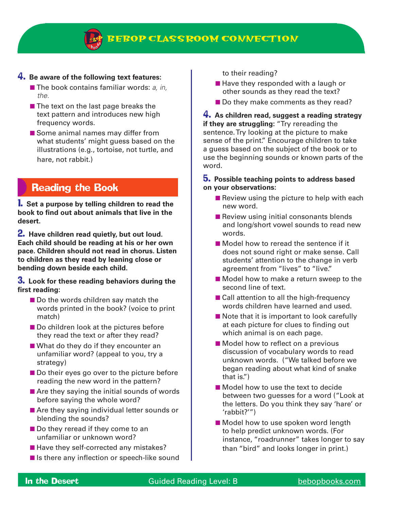

#### 4. **Be aware of the following text features:**

- The book contains familiar words: *a, in, the.*
- The text on the last page breaks the text pattern and introduces new high frequency words.
- Some animal names may differ from what students' might guess based on the illustrations (e.g., tortoise, not turtle, and hare, not rabbit.)

### Reading the Book

1. **Set a purpose by telling children to read the book to find out about animals that live in the desert.**

2. **Have children read quietly, but out loud. Each child should be reading at his or her own pace. Children should not read in chorus. Listen to children as they read by leaning close or bending down beside each child.**

#### 3. **Look for these reading behaviors during the first reading:**

- Do the words children say match the words printed in the book? (voice to print match)
- Do children look at the pictures before they read the text or after they read?
- What do they do if they encounter an unfamiliar word? (appeal to you, try a strategy)
- Do their eyes go over to the picture before reading the new word in the pattern?
- Are they saying the initial sounds of words before saying the whole word?
- Are they saying individual letter sounds or blending the sounds?
- Do they reread if they come to an unfamiliar or unknown word?
- Have they self-corrected any mistakes?
- Is there any inflection or speech-like sound

to their reading?

- Have they responded with a laugh or other sounds as they read the text?
- Do they make comments as they read?

4. **As children read, suggest a reading strategy if they are struggling:** "Try rereading the sentence. Try looking at the picture to make sense of the print." Encourage children to take a guess based on the subject of the book or to use the beginning sounds or known parts of the word.

#### 5. **Possible teaching points to address based on your observations:**

- Review using the picture to help with each new word.
- Review using initial consonants blends and long/short vowel sounds to read new words.
- Model how to reread the sentence if it does not sound right or make sense. Call students' attention to the change in verb agreement from "lives" to "live."
- Model how to make a return sweep to the second line of text.
- Call attention to all the high-frequency words children have learned and used.
- Note that it is important to look carefully at each picture for clues to finding out which animal is on each page.
- Model how to reflect on a previous discussion of vocabulary words to read unknown words. ("We talked before we began reading about what kind of snake that is.")
- Model how to use the text to decide between two guesses for a word ("Look at the letters. Do you think they say 'hare' or 'rabbit?'")
- Model how to use spoken word length to help predict unknown words. (For instance, "roadrunner" takes longer to say than "bird" and looks longer in print.)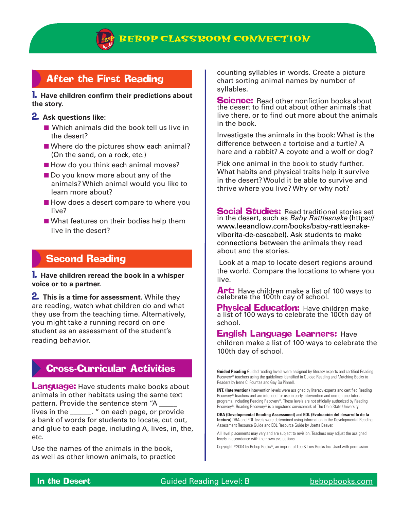

### After the First Reading

#### 1. **Have children confirm their predictions about the story.**

#### 2. **Ask questions like:**

- Which animals did the book tell us live in the desert?
- Where do the pictures show each animal? (On the sand, on a rock, etc.)
- How do you think each animal moves?
- Do you know more about any of the animals? Which animal would you like to learn more about?
- How does a desert compare to where you live?
- What features on their bodies help them live in the desert?

### Second Reading

1. **Have children reread the book in a whisper voice or to a partner.**

2. **This is a time for assessment.** While they are reading, watch what children do and what they use from the teaching time. Alternatively, you might take a running record on one student as an assessment of the student's reading behavior.

### Cross-Curricular Activities

**Language:** Have students make books about animals in other habitats using the same text pattern. Provide the sentence stem "A lives in the \_\_\_\_\_\_. " on each page, or provide a bank of words for students to locate, cut out, and glue to each page, including A, lives, in, the, etc.

Use the names of the animals in the book, as well as other known animals, to practice counting syllables in words. Create a picture chart sorting animal names by number of syllables.

**Science:** Read other nonfiction books about the desert to find out about other animals that live there, or to find out more about the animals in the book.

Investigate the animals in the book: What is the difference between a tortoise and a turtle? A hare and a rabbit? A coyote and a wolf or dog?

Pick one animal in the book to study further. What habits and physical traits help it survive in the desert? Would it be able to survive and thrive where you live? Why or why not?

**Social Studies: Read traditional stories set** in the desert, such as *Baby Rattlesnake* (https:// www.leeandlow.com/books/baby-rattlesnakeviborita-de-cascabel). Ask students to make connections between the animals they read about and the stories.

 Look at a map to locate desert regions around the world. Compare the locations to where you live.

Art: Have children make a list of 100 ways to celebrate the 100th day of school.

**Physical Education:** Have children make a list of 100 ways to celebrate the 100th day of school.

English Language Learners: Have children make a list of 100 ways to celebrate the 100th day of school.

**Guided Reading** Guided reading levels were assigned by literacy experts and certified Reading Recovery® teachers using the guidelines identified in Guided Reading and Matching Books to Readers by Irene C. Fountas and Gay Su Pinnell.

**INT. (Intervention)** Intervention levels were assigned by literacy experts and certified Reading Recovery® teachers and are intended for use in early intervention and one-on-one tutorial programs, including Reading Recovery®. These levels are not officially authorized by Reading Recovery®. Reading Recovery® is a registered servicemark of The Ohio State University.

**DRA (Developmental Reading Assessment)** and **EDL (Evaluación del desarrollo de la lectura)** DRA and EDL levels were determined using information in the Developmental Reading Assessment Resource Guide and EDL Resource Guide by Joetta Beaver.

All level placements may vary and are subject to revision. Teachers may adjust the assigned levels in accordance with their own evaluations.

Copyright © 2004 by Bebop Books®, an imprint of Lee & Low Books Inc. Used with permission.